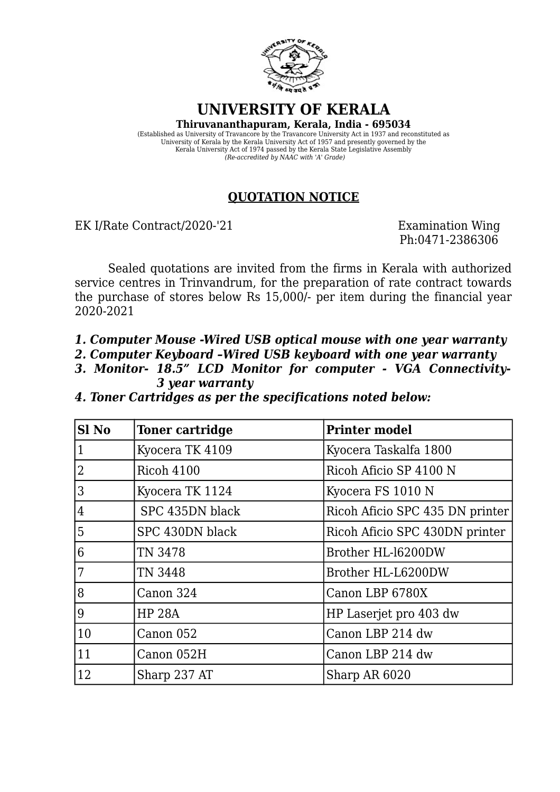

**UNIVERSITY OF KERALA**

**Thiruvananthapuram, Kerala, India - 695034** (Established as University of Travancore by the Travancore University Act in 1937 and reconstituted as University of Kerala by the Kerala University Act of 1957 and presently governed by the Kerala University Act of 1974 passed by the Kerala State Legislative Assembly *(Re-accredited by NAAC with 'A' Grade)*

## **QUOTATION NOTICE**

EK I/Rate Contract/2020-'21 Examination Wing

Ph:0471-2386306

Sealed quotations are invited from the firms in Kerala with authorized service centres in Trinvandrum, for the preparation of rate contract towards the purchase of stores below Rs 15,000/- per item during the financial year 2020-2021

*1. Computer Mouse -Wired USB optical mouse with one year warranty*

*2. Computer Keyboard –Wired USB keyboard with one year warranty*

*3. Monitor- 18.5" LCD Monitor for computer - VGA Connectivity- 3 year warranty*

*4. Toner Cartridges as per the specifications noted below:*

| Sl <sub>No</sub> | <b>Toner cartridge</b> | <b>Printer model</b>            |
|------------------|------------------------|---------------------------------|
| $\mathbf{1}$     | Kyocera TK 4109        | Kyocera Taskalfa 1800           |
| $\overline{2}$   | <b>Ricoh 4100</b>      | Ricoh Aficio SP 4100 N          |
| 3                | Kyocera TK 1124        | Kyocera FS 1010 N               |
| $\overline{4}$   | SPC 435DN black        | Ricoh Aficio SPC 435 DN printer |
| 5                | SPC 430DN black        | Ricoh Aficio SPC 430DN printer  |
| 6                | TN 3478                | Brother HL-16200DW              |
| 7                | TN 3448                | Brother HL-L6200DW              |
| 8                | Canon 324              | Canon LBP 6780X                 |
| 9                | <b>HP 28A</b>          | HP Laserjet pro 403 dw          |
| 10               | Canon 052              | Canon LBP 214 dw                |
| 11               | Canon 052H             | Canon LBP 214 dw                |
| 12               | Sharp 237 AT           | Sharp AR 6020                   |